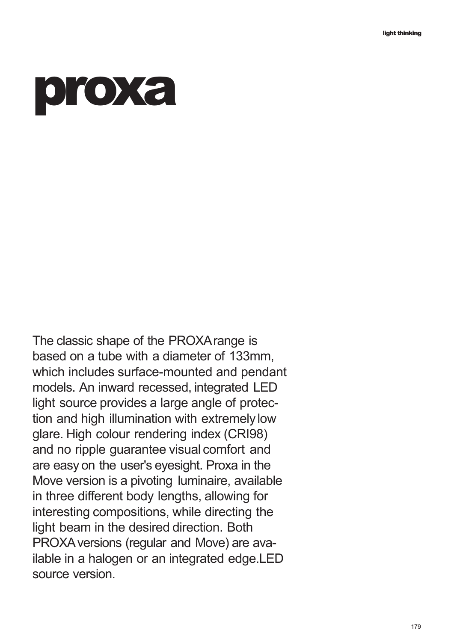## **proxa**

The classic shape of the PROXArange is based on a tube with a diameter of 133mm, which includes surface-mounted and pendant models. An inward recessed, integrated LED light source provides a large angle of protection and high illumination with extremelylow glare. High colour rendering index (CRI98) and no ripple guarantee visual comfort and are easy on the user's eyesight. Proxa in the Move version is a pivoting luminaire, available in three different body lengths, allowing for interesting compositions, while directing the light beam in the desired direction. Both PROXAversions (regular and Move) are available in a halogen or an integrated edge.LED source version.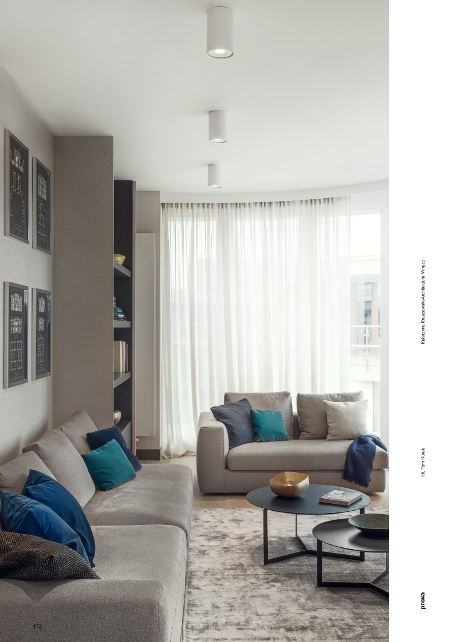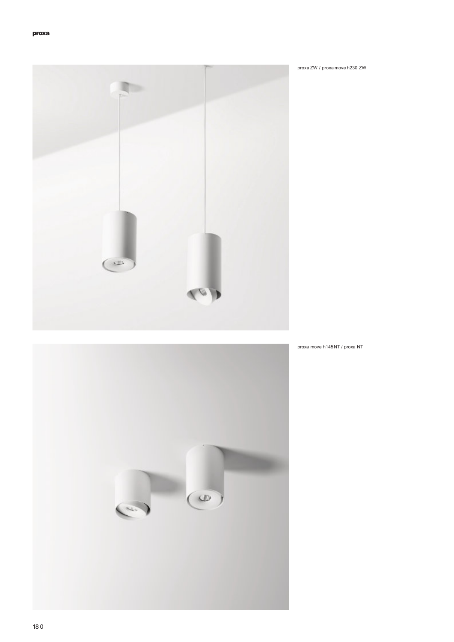

proxa move h145NT / proxa NT



proxa ZW / proxa move h230 ZW